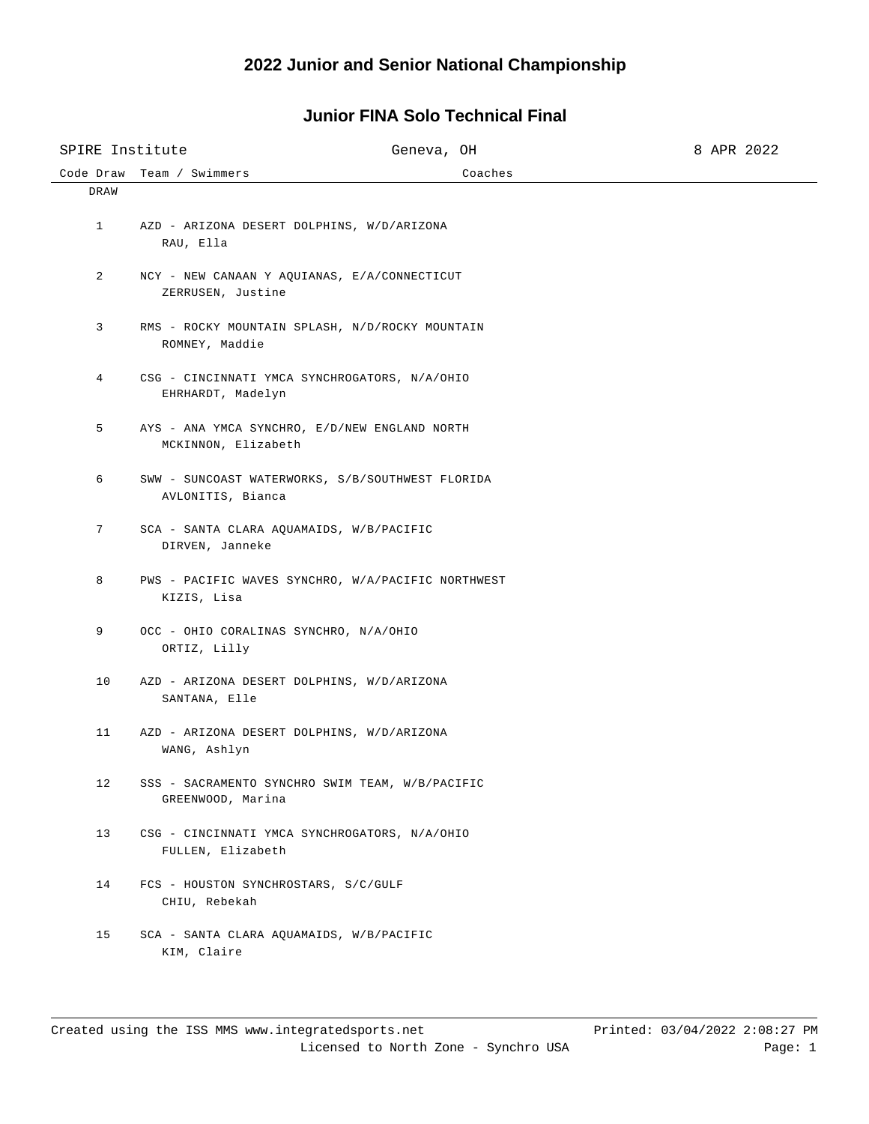| SPIRE Institute |                                                                       | Geneva, OH | 8 APR 2022 |
|-----------------|-----------------------------------------------------------------------|------------|------------|
| Code Draw       | Team / Swimmers                                                       | Coaches    |            |
| DRAW            |                                                                       |            |            |
| $\mathbf{1}$    | AZD - ARIZONA DESERT DOLPHINS, W/D/ARIZONA<br>RAU, Ella               |            |            |
| 2               | NCY - NEW CANAAN Y AQUIANAS, E/A/CONNECTICUT<br>ZERRUSEN, Justine     |            |            |
| 3               | RMS - ROCKY MOUNTAIN SPLASH, N/D/ROCKY MOUNTAIN<br>ROMNEY, Maddie     |            |            |
| $\overline{4}$  | CSG - CINCINNATI YMCA SYNCHROGATORS, N/A/OHIO<br>EHRHARDT, Madelyn    |            |            |
| 5               | AYS - ANA YMCA SYNCHRO, E/D/NEW ENGLAND NORTH<br>MCKINNON, Elizabeth  |            |            |
| 6               | SWW - SUNCOAST WATERWORKS, S/B/SOUTHWEST FLORIDA<br>AVLONITIS, Bianca |            |            |
| 7               | SCA - SANTA CLARA AQUAMAIDS, W/B/PACIFIC<br>DIRVEN, Janneke           |            |            |
| 8               | PWS - PACIFIC WAVES SYNCHRO, W/A/PACIFIC NORTHWEST<br>KIZIS, Lisa     |            |            |
| 9               | OCC - OHIO CORALINAS SYNCHRO, N/A/OHIO<br>ORTIZ, Lilly                |            |            |
| 10 <sub>1</sub> | AZD - ARIZONA DESERT DOLPHINS, W/D/ARIZONA<br>SANTANA, Elle           |            |            |
| 11              | AZD - ARIZONA DESERT DOLPHINS, W/D/ARIZONA<br>WANG, Ashlyn            |            |            |
| 12              | SSS - SACRAMENTO SYNCHRO SWIM TEAM, W/B/PACIFIC<br>GREENWOOD, Marina  |            |            |
| 13              | CSG - CINCINNATI YMCA SYNCHROGATORS, N/A/OHIO<br>FULLEN, Elizabeth    |            |            |
| 14              | FCS - HOUSTON SYNCHROSTARS, S/C/GULF<br>CHIU, Rebekah                 |            |            |
| 15              | SCA - SANTA CLARA AQUAMAIDS, W/B/PACIFIC<br>KIM, Claire               |            |            |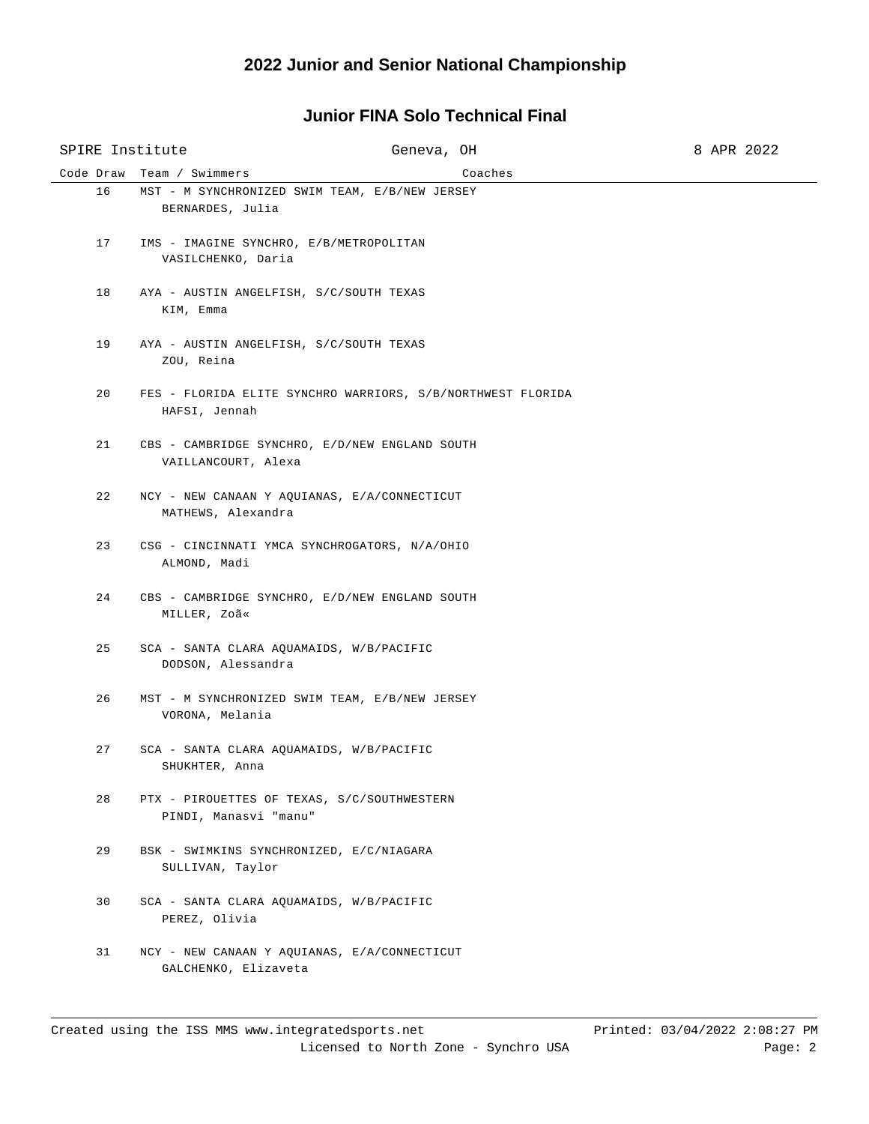## **Junior FINA Solo Technical Final**

| SPIRE Institute |                                                       | Geneva, OH                                                  |         | 8 APR 2022 |
|-----------------|-------------------------------------------------------|-------------------------------------------------------------|---------|------------|
| Code Draw       | Team / Swimmers                                       |                                                             | Coaches |            |
| 16              | BERNARDES, Julia                                      | MST - M SYNCHRONIZED SWIM TEAM, E/B/NEW JERSEY              |         |            |
| 17              | VASILCHENKO, Daria                                    | IMS - IMAGINE SYNCHRO, E/B/METROPOLITAN                     |         |            |
| 18              | AYA - AUSTIN ANGELFISH, S/C/SOUTH TEXAS<br>KIM, Emma  |                                                             |         |            |
| 19              | AYA - AUSTIN ANGELFISH, S/C/SOUTH TEXAS<br>ZOU, Reina |                                                             |         |            |
| 20              | HAFSI, Jennah                                         | FES - FLORIDA ELITE SYNCHRO WARRIORS, S/B/NORTHWEST FLORIDA |         |            |
| 21              | VAILLANCOURT, Alexa                                   | CBS - CAMBRIDGE SYNCHRO, E/D/NEW ENGLAND SOUTH              |         |            |
| 22              | MATHEWS, Alexandra                                    | NCY - NEW CANAAN Y AQUIANAS, E/A/CONNECTICUT                |         |            |
| 23              | ALMOND, Madi                                          | CSG - CINCINNATI YMCA SYNCHROGATORS, N/A/OHIO               |         |            |
| 24              | MILLER, Zoã«                                          | CBS - CAMBRIDGE SYNCHRO, E/D/NEW ENGLAND SOUTH              |         |            |
| 25              | DODSON, Alessandra                                    | SCA - SANTA CLARA AQUAMAIDS, W/B/PACIFIC                    |         |            |
| 26              | VORONA, Melania                                       | MST - M SYNCHRONIZED SWIM TEAM, E/B/NEW JERSEY              |         |            |
| 27              | SHUKHTER, Anna                                        | SCA - SANTA CLARA AQUAMAIDS, W/B/PACIFIC                    |         |            |
| 28              | PINDI, Manasvi "manu"                                 | PTX - PIROUETTES OF TEXAS, S/C/SOUTHWESTERN                 |         |            |
| 29              | SULLIVAN, Taylor                                      | BSK - SWIMKINS SYNCHRONIZED, E/C/NIAGARA                    |         |            |
| 30              | PEREZ, Olivia                                         | SCA - SANTA CLARA AQUAMAIDS, W/B/PACIFIC                    |         |            |
| 31              | GALCHENKO, Elizaveta                                  | NCY - NEW CANAAN Y AOUIANAS, E/A/CONNECTICUT                |         |            |